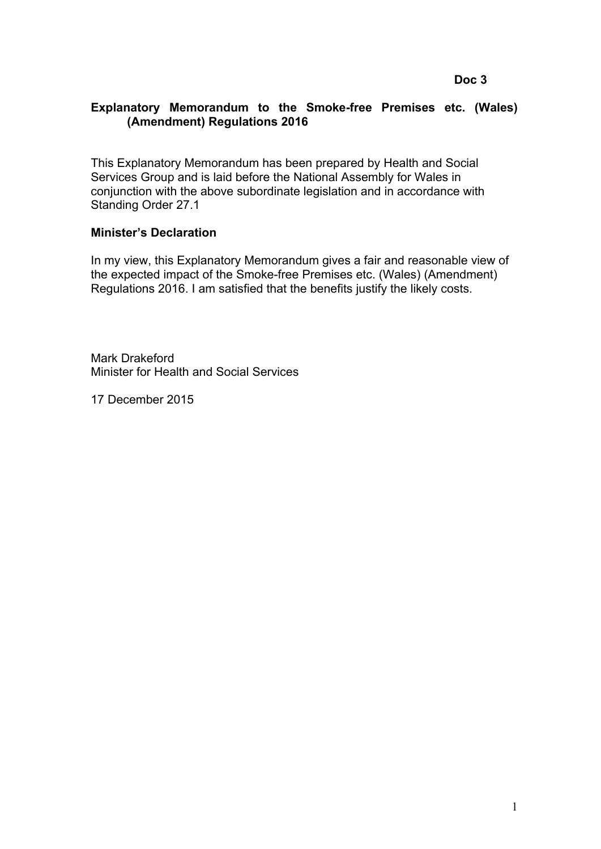## **Explanatory Memorandum to the Smoke-free Premises etc. (Wales) (Amendment) Regulations 2016**

This Explanatory Memorandum has been prepared by Health and Social Services Group and is laid before the National Assembly for Wales in conjunction with the above subordinate legislation and in accordance with Standing Order 27.1

## **Minister's Declaration**

In my view, this Explanatory Memorandum gives a fair and reasonable view of the expected impact of the Smoke-free Premises etc. (Wales) (Amendment) Regulations 2016. I am satisfied that the benefits justify the likely costs.

Mark Drakeford Minister for Health and Social Services

17 December 2015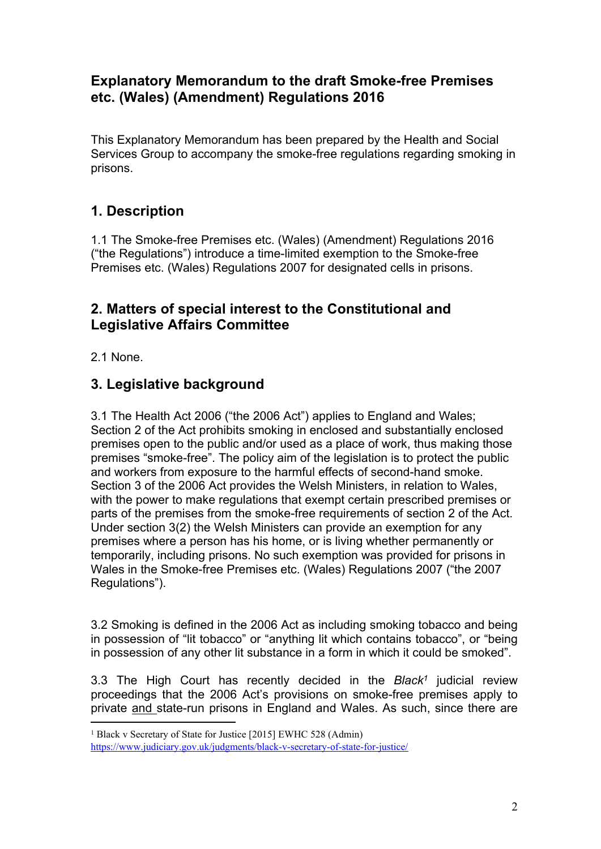# **Explanatory Memorandum to the draft Smoke-free Premises etc. (Wales) (Amendment) Regulations 2016**

This Explanatory Memorandum has been prepared by the Health and Social Services Group to accompany the smoke-free regulations regarding smoking in prisons.

# **1. Description**

1.1 The Smoke-free Premises etc. (Wales) (Amendment) Regulations 2016 ("the Regulations") introduce a time-limited exemption to the Smoke-free Premises etc. (Wales) Regulations 2007 for designated cells in prisons.

# **2. Matters of special interest to the Constitutional and Legislative Affairs Committee**

2.1 None.

# **3. Legislative background**

3.1 The Health Act 2006 ("the 2006 Act") applies to England and Wales; Section 2 of the Act prohibits smoking in enclosed and substantially enclosed premises open to the public and/or used as a place of work, thus making those premises "smoke-free". The policy aim of the legislation is to protect the public and workers from exposure to the harmful effects of second-hand smoke. Section 3 of the 2006 Act provides the Welsh Ministers, in relation to Wales, with the power to make regulations that exempt certain prescribed premises or parts of the premises from the smoke-free requirements of section 2 of the Act. Under section 3(2) the Welsh Ministers can provide an exemption for any premises where a person has his home, or is living whether permanently or temporarily, including prisons. No such exemption was provided for prisons in Wales in the Smoke-free Premises etc. (Wales) Regulations 2007 ("the 2007 Regulations").

3.2 Smoking is defined in the 2006 Act as including smoking tobacco and being in possession of "lit tobacco" or "anything lit which contains tobacco", or "being in possession of any other lit substance in a form in which it could be smoked".

3.3 The High Court has recently decided in the *Black<sup>1</sup>* judicial review proceedings that the 2006 Act's provisions on smoke-free premises apply to private and state-run prisons in England and Wales. As such, since there are

<sup>1</sup> Black v Secretary of State for Justice [2015] EWHC 528 (Admin)

<https://www.judiciary.gov.uk/judgments/black-v-secretary-of-state-for-justice/>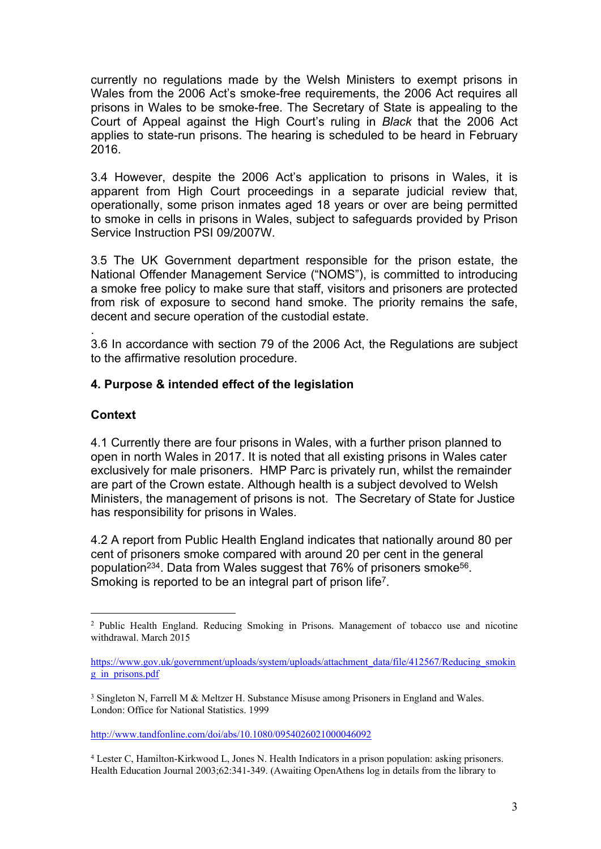currently no regulations made by the Welsh Ministers to exempt prisons in Wales from the 2006 Act's smoke-free requirements, the 2006 Act requires all prisons in Wales to be smoke-free. The Secretary of State is appealing to the Court of Appeal against the High Court's ruling in *Black* that the 2006 Act applies to state-run prisons. The hearing is scheduled to be heard in February 2016.

3.4 However, despite the 2006 Act's application to prisons in Wales, it is apparent from High Court proceedings in a separate judicial review that, operationally, some prison inmates aged 18 years or over are being permitted to smoke in cells in prisons in Wales, subject to safeguards provided by Prison Service Instruction PSI 09/2007W.

3.5 The UK Government department responsible for the prison estate, the National Offender Management Service ("NOMS"), is committed to introducing a smoke free policy to make sure that staff, visitors and prisoners are protected from risk of exposure to second hand smoke. The priority remains the safe, decent and secure operation of the custodial estate.

. 3.6 In accordance with section 79 of the 2006 Act, the Regulations are subject to the affirmative resolution procedure.

## **4. Purpose & intended effect of the legislation**

## **Context**

4.1 Currently there are four prisons in Wales, with a further prison planned to open in north Wales in 2017. It is noted that all existing prisons in Wales cater exclusively for male prisoners. HMP Parc is privately run, whilst the remainder are part of the Crown estate. Although health is a subject devolved to Welsh Ministers, the management of prisons is not. The Secretary of State for Justice has responsibility for prisons in Wales.

<span id="page-2-4"></span><span id="page-2-3"></span><span id="page-2-2"></span><span id="page-2-1"></span><span id="page-2-0"></span>4.2 A report from Public Health England indicates that nationally around 80 per cent of prisoners smoke compared with around 20 per cent in the general population<sup>234</sup>. Data from Wales suggest that 76% of prisoners smoke<sup>56</sup>. Smoking is reported to be an integral part of prison life<sup>7</sup>.

<sup>2</sup> Public Health England. Reducing Smoking in Prisons. Management of tobacco use and nicotine withdrawal. March 2015

[https://www.gov.uk/government/uploads/system/uploads/attachment\\_data/file/412567/Reducing\\_smokin](https://www.gov.uk/government/uploads/system/uploads/attachment_data/file/412567/Reducing_smoking_in_prisons.pdf) [g\\_in\\_prisons.pdf](https://www.gov.uk/government/uploads/system/uploads/attachment_data/file/412567/Reducing_smoking_in_prisons.pdf)

<sup>&</sup>lt;sup>3</sup> Singleton N, Farrell M & Meltzer H. Substance Misuse among Prisoners in England and Wales. London: Office for National Statistics. 1999

<http://www.tandfonline.com/doi/abs/10.1080/0954026021000046092>

<sup>4</sup> Lester C, Hamilton-Kirkwood L, Jones N. Health Indicators in a prison population: asking prisoners. Health Education Journal 2003;62:341-349. (Awaiting OpenAthens log in details from the library to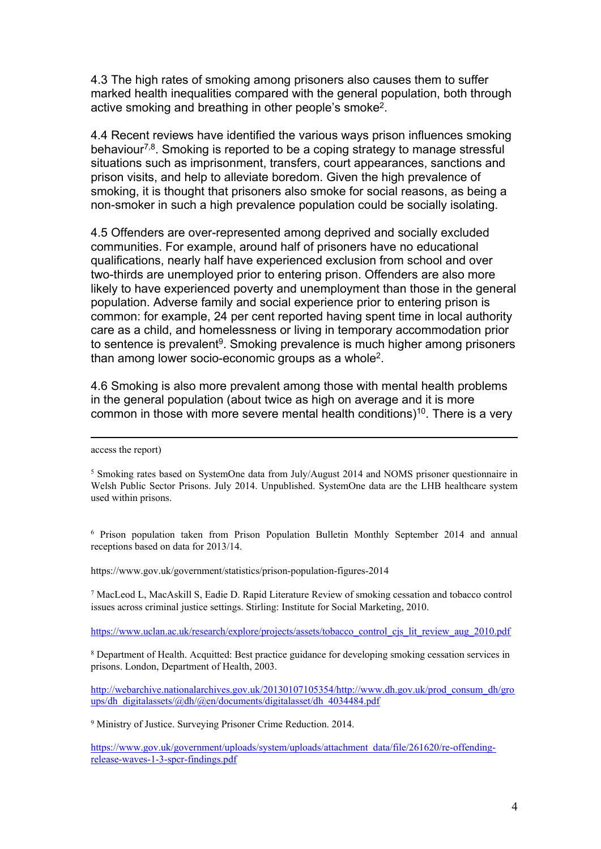4.3 The high rates of smoking among prisoners also causes them to suffer marked health inequalities compared with the general population, both through active smoking and breathing in other people's smoke<sup>2</sup>.

4.4 Recent reviews have identified the various ways prison influences smoking behaviour<sup>[7](#page-2-0),8</sup>. Smoking is reported to be a coping strategy to manage stressful situations such as imprisonment, transfers, court appearances, sanctions and prison visits, and help to alleviate boredom. Given the high prevalence of smoking, it is thought that prisoners also smoke for social reasons, as being a non-smoker in such a high prevalence population could be socially isolating.

4.5 Offenders are over-represented among deprived and socially excluded communities. For example, around half of prisoners have no educational qualifications, nearly half have experienced exclusion from school and over two-thirds are unemployed prior to entering prison. Offenders are also more likely to have experienced poverty and unemployment than those in the general population. Adverse family and social experience prior to entering prison is common: for example, 24 per cent reported having spent time in local authority care as a child, and homelessness or living in temporary accommodation prior to sentence is prevalent<sup>9</sup>. Smoking prevalence is much higher among prisoners than among lower socio-economic groups as a whole<sup>2</sup>.

4.6 Smoking is also more prevalent among those with mental health problems in the general population (about twice as high on average and it is more common in those with more severe mental health conditions)<sup>10</sup>. There is a very

access the report)

<sup>6</sup> Prison population taken from Prison Population Bulletin Monthly September 2014 and annual receptions based on data for 2013/14.

https://www.gov.uk/government/statistics/prison-population-figures-2014

<sup>7</sup> MacLeod L, MacAskill S, Eadie D. Rapid Literature Review of smoking cessation and tobacco control issues across criminal justice settings. Stirling: Institute for Social Marketing, 2010.

[https://www.uclan.ac.uk/research/explore/projects/assets/tobacco\\_control\\_cjs\\_lit\\_review\\_aug\\_2010.pdf](https://www.uclan.ac.uk/research/explore/projects/assets/tobacco_control_cjs_lit_review_aug_2010.pdf)

<sup>8</sup> Department of Health. Acquitted: Best practice guidance for developing smoking cessation services in prisons. London, Department of Health, 2003.

[http://webarchive.nationalarchives.gov.uk/20130107105354/http://www.dh.gov.uk/prod\\_consum\\_dh/gro](http://webarchive.nationalarchives.gov.uk/20130107105354/http:/www.dh.gov.uk/prod_consum_dh/groups/dh_digitalassets/@dh/@en/documents/digitalasset/dh_4034484.pdf)  $u$ ps/dh\_digitalassets/@dh/@en/documents/digitalasset/dh\_4034484.pdf

<sup>9</sup> Ministry of Justice. Surveying Prisoner Crime Reduction. 2014.

[https://www.gov.uk/government/uploads/system/uploads/attachment\\_data/file/261620/re-offending](https://www.gov.uk/government/uploads/system/uploads/attachment_data/file/261620/re-offending-release-waves-1-3-spcr-findings.pdf)[release-waves-1-3-spcr-findings.pdf](https://www.gov.uk/government/uploads/system/uploads/attachment_data/file/261620/re-offending-release-waves-1-3-spcr-findings.pdf)

<sup>&</sup>lt;sup>5</sup> Smoking rates based on SystemOne data from July/August 2014 and NOMS prisoner questionnaire in Welsh Public Sector Prisons. July 2014. Unpublished. SystemOne data are the LHB healthcare system used within prisons.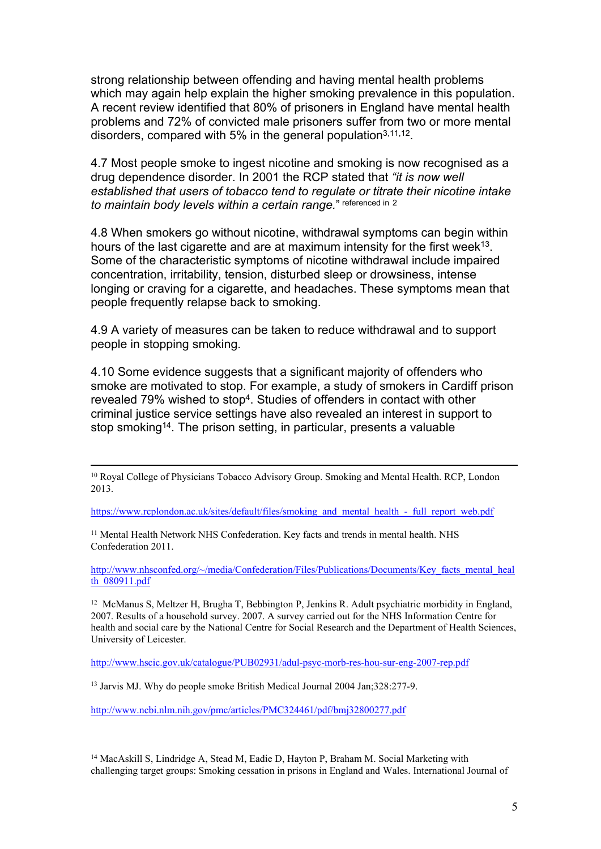strong relationship between offending and having mental health problems which may again help explain the higher smoking prevalence in this population. A recent review identified that 80% of prisoners in England have mental health problems and 72% of convicted male prisoners suffer from two or more mental disorders, compared with 5% in the general population<sup>[3,](#page-2-1)11,12</sup>.

4.7 Most people smoke to ingest nicotine and smoking is now recognised as a drug dependence disorder. In 2001 the RCP stated that *"it is now well established that users of tobacco tend to regulate or titrate their nicotine intake to maintain body levels within a certain range.*" referenced in [2](#page-2-2)

4.8 When smokers go without nicotine, withdrawal symptoms can begin within hours of the last cigarette and are at maximum intensity for the first week<sup>13</sup>. Some of the characteristic symptoms of nicotine withdrawal include impaired concentration, irritability, tension, disturbed sleep or drowsiness, intense longing or craving for a cigarette, and headaches. These symptoms mean that people frequently relapse back to smoking.

4.9 A variety of measures can be taken to reduce withdrawal and to support people in stopping smoking.

4.10 Some evidence suggests that a significant majority of offenders who smoke are motivated to stop. For example, a study of smokers in Cardiff prison revealed 79% wished to stop<sup>4</sup>. Studies of offenders in contact with other criminal justice service settings have also revealed an interest in support to stop smoking<sup>14</sup>. The prison setting, in particular, presents a valuable

[https://www.rcplondon.ac.uk/sites/default/files/smoking\\_and\\_mental\\_health\\_-\\_full\\_report\\_web.pdf](https://www.rcplondon.ac.uk/sites/default/files/smoking_and_mental_health_-_full_report_web.pdf)

<sup>11</sup> Mental Health Network NHS Confederation. Key facts and trends in mental health. NHS Confederation 2011.

[http://www.nhsconfed.org/~/media/Confederation/Files/Publications/Documents/Key\\_facts\\_mental\\_heal](http://www.nhsconfed.org/~/media/Confederation/Files/Publications/Documents/Key_facts_mental_health_080911.pdf)\_ th $\overline{080911}$  ndf

<sup>12</sup> McManus S, Meltzer H, Brugha T, Bebbington P, Jenkins R. Adult psychiatric morbidity in England, 2007. Results of a household survey. 2007. A survey carried out for the NHS Information Centre for health and social care by the National Centre for Social Research and the Department of Health Sciences, University of Leicester.

<http://www.hscic.gov.uk/catalogue/PUB02931/adul-psyc-morb-res-hou-sur-eng-2007-rep.pdf>

<sup>13</sup> Jarvis MJ. Why do people smoke British Medical Journal 2004 Jan;328:277-9.

<http://www.ncbi.nlm.nih.gov/pmc/articles/PMC324461/pdf/bmj32800277.pdf>

<sup>14</sup> MacAskill S, Lindridge A, Stead M, Eadie D, Hayton P, Braham M. Social Marketing with challenging target groups: Smoking cessation in prisons in England and Wales. International Journal of

<sup>&</sup>lt;sup>10</sup> Royal College of Physicians Tobacco Advisory Group. Smoking and Mental Health. RCP, London 2013.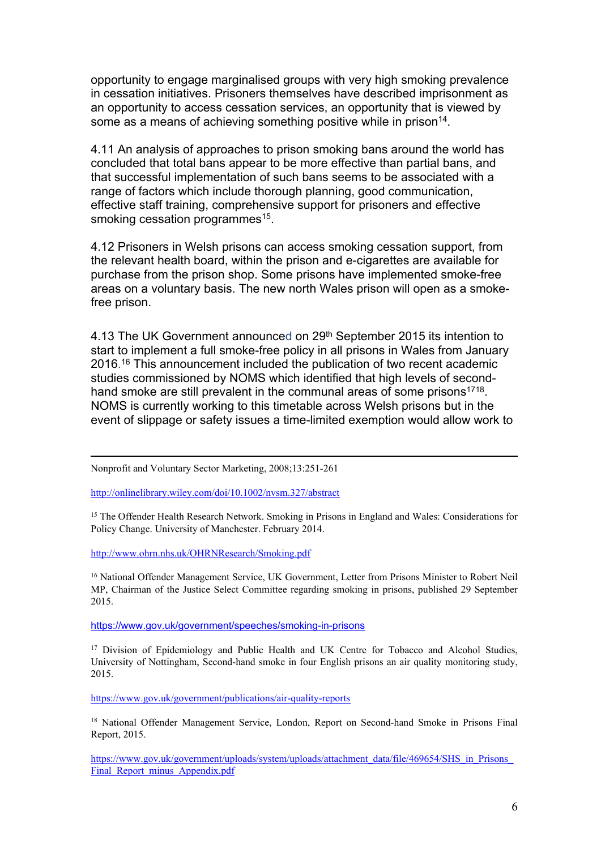opportunity to engage marginalised groups with very high smoking prevalence in cessation initiatives. Prisoners themselves have described imprisonment as an opportunity to access cessation services, an opportunity that is viewed by some as a means of achieving something positive while in prison<sup>14</sup>.

4.11 An analysis of approaches to prison smoking bans around the world has concluded that total bans appear to be more effective than partial bans, and that successful implementation of such bans seems to be associated with a range of factors which include thorough planning, good communication, effective staff training, comprehensive support for prisoners and effective smoking cessation programmes<sup>15</sup>.

4.12 Prisoners in Welsh prisons can access smoking cessation support, from the relevant health board, within the prison and e-cigarettes are available for purchase from the prison shop. Some prisons have implemented smoke-free areas on a voluntary basis. The new north Wales prison will open as a smokefree prison.

4.13 The UK Government announced on 29<sup>th</sup> September 2015 its intention to start to implement a full smoke-free policy in all prisons in Wales from January 2016. <sup>16</sup> This announcement included the publication of two recent academic studies commissioned by NOMS which identified that high levels of secondhand smoke are still prevalent in the communal areas of some prisons<sup>1718</sup>. NOMS is currently working to this timetable across Welsh prisons but in the event of slippage or safety issues a time-limited exemption would allow work to

<http://onlinelibrary.wiley.com/doi/10.1002/nvsm.327/abstract>

<sup>15</sup> The Offender Health Research Network. Smoking in Prisons in England and Wales: Considerations for Policy Change. University of Manchester. February 2014.

<http://www.ohrn.nhs.uk/OHRNResearch/Smoking.pdf>

<sup>16</sup> National Offender Management Service, UK Government, Letter from Prisons Minister to Robert Neil MP, Chairman of the Justice Select Committee regarding smoking in prisons, published 29 September 2015.

<https://www.gov.uk/government/speeches/smoking-in-prisons>

<sup>17</sup> Division of Epidemiology and Public Health and UK Centre for Tobacco and Alcohol Studies, University of Nottingham, Second-hand smoke in four English prisons an air quality monitoring study, 2015.

<https://www.gov.uk/government/publications/air-quality-reports>

<sup>18</sup> National Offender Management Service, London, Report on Second-hand Smoke in Prisons Final Report, 2015.

https://www.gov.uk/government/uploads/system/uploads/attachment\_data/file/469654/SHS\_in\_Prisons Final Report minus Appendix.pdf

Nonprofit and Voluntary Sector Marketing, 2008;13:251-261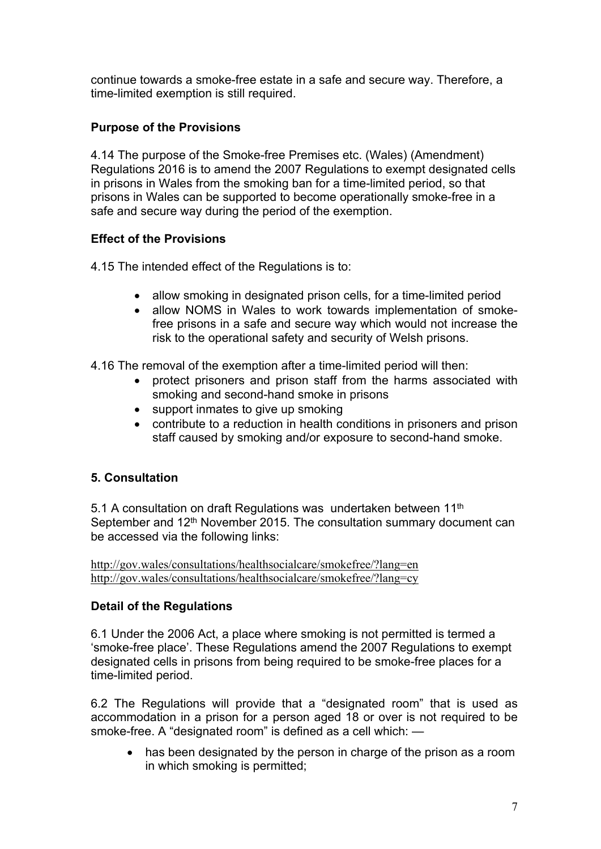continue towards a smoke-free estate in a safe and secure way. Therefore, a time-limited exemption is still required.

## **Purpose of the Provisions**

4.14 The purpose of the Smoke-free Premises etc. (Wales) (Amendment) Regulations 2016 is to amend the 2007 Regulations to exempt designated cells in prisons in Wales from the smoking ban for a time-limited period, so that prisons in Wales can be supported to become operationally smoke-free in a safe and secure way during the period of the exemption.

## **Effect of the Provisions**

4.15 The intended effect of the Regulations is to:

- allow smoking in designated prison cells, for a time-limited period
- allow NOMS in Wales to work towards implementation of smokefree prisons in a safe and secure way which would not increase the risk to the operational safety and security of Welsh prisons.

4.16 The removal of the exemption after a time-limited period will then:

- protect prisoners and prison staff from the harms associated with smoking and second-hand smoke in prisons
- support inmates to give up smoking
- contribute to a reduction in health conditions in prisoners and prison staff caused by smoking and/or exposure to second-hand smoke.

## **5. Consultation**

5.1 A consultation on draft Regulations was undertaken between 11<sup>th</sup> September and 12<sup>th</sup> November 2015. The consultation summary document can be accessed via the following links:

<http://gov.wales/consultations/healthsocialcare/smokefree/?lang=en> <http://gov.wales/consultations/healthsocialcare/smokefree/?lang=cy>

## **Detail of the Regulations**

6.1 Under the 2006 Act, a place where smoking is not permitted is termed a 'smoke-free place'. These Regulations amend the 2007 Regulations to exempt designated cells in prisons from being required to be smoke-free places for a time-limited period.

6.2 The Regulations will provide that a "designated room" that is used as accommodation in a prison for a person aged 18 or over is not required to be smoke-free. A "designated room" is defined as a cell which: —

• has been designated by the person in charge of the prison as a room in which smoking is permitted;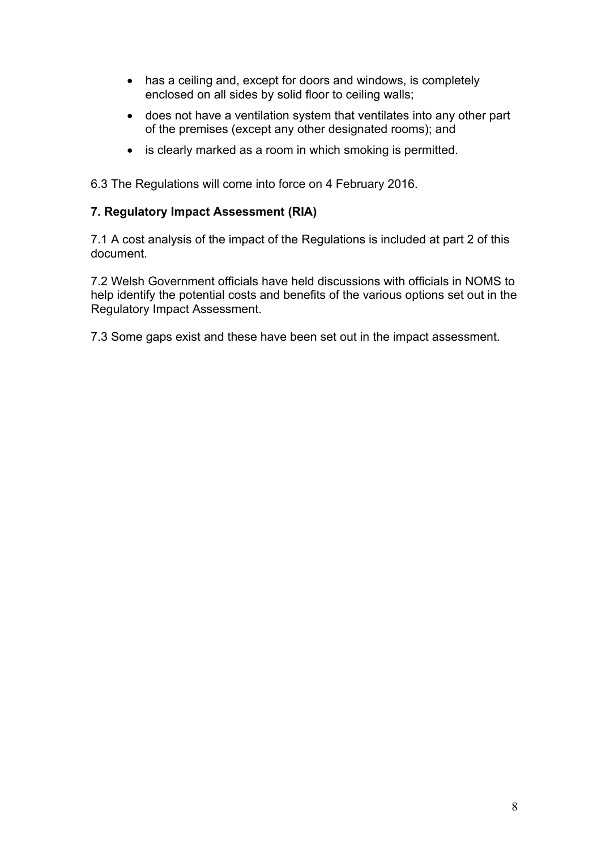- has a ceiling and, except for doors and windows, is completely enclosed on all sides by solid floor to ceiling walls;
- does not have a ventilation system that ventilates into any other part of the premises (except any other designated rooms); and
- is clearly marked as a room in which smoking is permitted.

6.3 The Regulations will come into force on 4 February 2016.

## **7. Regulatory Impact Assessment (RIA)**

7.1 A cost analysis of the impact of the Regulations is included at part 2 of this document.

7.2 Welsh Government officials have held discussions with officials in NOMS to help identify the potential costs and benefits of the various options set out in the Regulatory Impact Assessment.

7.3 Some gaps exist and these have been set out in the impact assessment.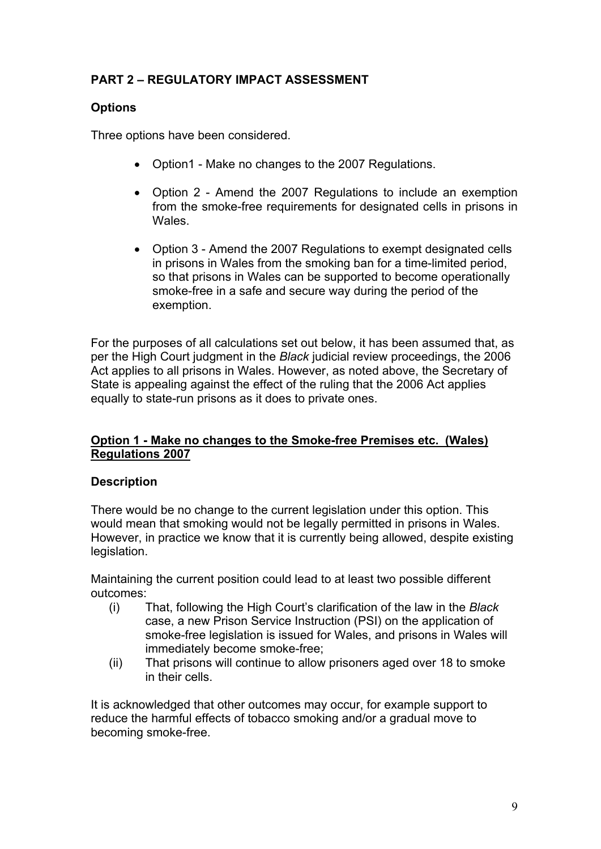## **PART 2 – REGULATORY IMPACT ASSESSMENT**

## **Options**

Three options have been considered.

- Option1 Make no changes to the 2007 Regulations.
- Option 2 Amend the 2007 Regulations to include an exemption from the smoke-free requirements for designated cells in prisons in **Wales**
- Option 3 Amend the 2007 Regulations to exempt designated cells in prisons in Wales from the smoking ban for a time-limited period, so that prisons in Wales can be supported to become operationally smoke-free in a safe and secure way during the period of the exemption.

For the purposes of all calculations set out below, it has been assumed that, as per the High Court judgment in the *Black* judicial review proceedings, the 2006 Act applies to all prisons in Wales. However, as noted above, the Secretary of State is appealing against the effect of the ruling that the 2006 Act applies equally to state-run prisons as it does to private ones.

## **Option 1 - Make no changes to the Smoke-free Premises etc. (Wales) Regulations 2007**

## **Description**

There would be no change to the current legislation under this option. This would mean that smoking would not be legally permitted in prisons in Wales. However, in practice we know that it is currently being allowed, despite existing legislation.

Maintaining the current position could lead to at least two possible different outcomes:

- (i) That, following the High Court's clarification of the law in the *Black* case, a new Prison Service Instruction (PSI) on the application of smoke-free legislation is issued for Wales, and prisons in Wales will immediately become smoke-free;
- (ii) That prisons will continue to allow prisoners aged over 18 to smoke in their cells.

It is acknowledged that other outcomes may occur, for example support to reduce the harmful effects of tobacco smoking and/or a gradual move to becoming smoke-free.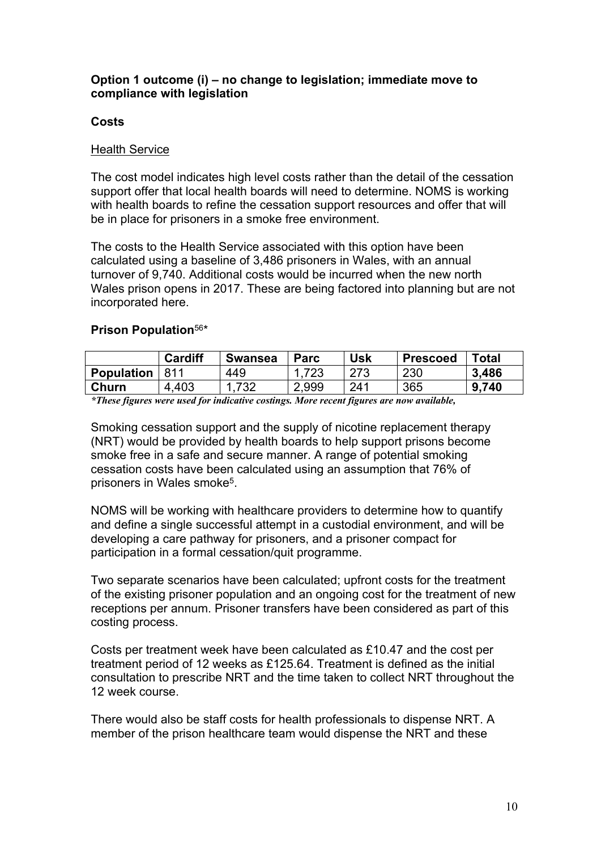#### **Option 1 outcome (i) – no change to legislation; immediate move to compliance with legislation**

## **Costs**

### Health Service

The cost model indicates high level costs rather than the detail of the cessation support offer that local health boards will need to determine. NOMS is working with health boards to refine the cessation support resources and offer that will be in place for prisoners in a smoke free environment.

The costs to the Health Service associated with this option have been calculated using a baseline of 3,486 prisoners in Wales, with an annual turnover of 9,740. Additional costs would be incurred when the new north Wales prison opens in 2017. These are being factored into planning but are not incorporated here.

## **Prison Population**[5](#page-2-3)[6](#page-2-4) \*

|                   | <b>Cardiff</b> | <b>Swansea</b> | <b>Parc</b> | Usk | <b>Prescoed</b> | Total     |
|-------------------|----------------|----------------|-------------|-----|-----------------|-----------|
| <b>Population</b> | 811            | 449            | .723        | 273 | 230             | 3,486     |
| Churn             | 4,403          | 732            | 2,999       | 241 | 365             | 740<br>9. |

*\*These figures were used for indicative costings. More recent figures are now available,*

Smoking cessation support and the supply of nicotine replacement therapy (NRT) would be provided by health boards to help support prisons become smoke free in a safe and secure manner. A range of potential smoking cessation costs have been calculated using an assumption that 76% of prisoners in Wales smoke<sup>5</sup>.

NOMS will be working with healthcare providers to determine how to quantify and define a single successful attempt in a custodial environment, and will be developing a care pathway for prisoners, and a prisoner compact for participation in a formal cessation/quit programme.

Two separate scenarios have been calculated; upfront costs for the treatment of the existing prisoner population and an ongoing cost for the treatment of new receptions per annum. Prisoner transfers have been considered as part of this costing process.

Costs per treatment week have been calculated as £10.47 and the cost per treatment period of 12 weeks as £125.64. Treatment is defined as the initial consultation to prescribe NRT and the time taken to collect NRT throughout the 12 week course.

There would also be staff costs for health professionals to dispense NRT. A member of the prison healthcare team would dispense the NRT and these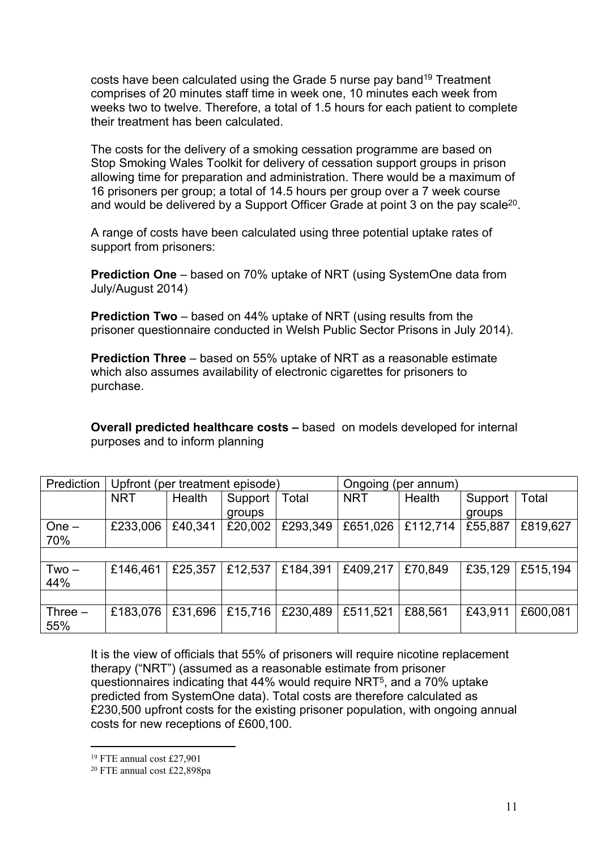costs have been calculated using the Grade 5 nurse pay band<sup>19</sup> Treatment comprises of 20 minutes staff time in week one, 10 minutes each week from weeks two to twelve. Therefore, a total of 1.5 hours for each patient to complete their treatment has been calculated.

The costs for the delivery of a smoking cessation programme are based on Stop Smoking Wales Toolkit for delivery of cessation support groups in prison allowing time for preparation and administration. There would be a maximum of 16 prisoners per group; a total of 14.5 hours per group over a 7 week course and would be delivered by a Support Officer Grade at point 3 on the pay scale<sup>20</sup>.

A range of costs have been calculated using three potential uptake rates of support from prisoners:

**Prediction One** – based on 70% uptake of NRT (using SystemOne data from July/August 2014)

**Prediction Two** – based on 44% uptake of NRT (using results from the prisoner questionnaire conducted in Welsh Public Sector Prisons in July 2014).

**Prediction Three** – based on 55% uptake of NRT as a reasonable estimate which also assumes availability of electronic cigarettes for prisoners to purchase.

**Overall predicted healthcare costs –** based on models developed for internal purposes and to inform planning

| Prediction | Upfront (per treatment episode) |         |         | Ongoing (per annum) |            |          |         |          |
|------------|---------------------------------|---------|---------|---------------------|------------|----------|---------|----------|
|            | <b>NRT</b>                      | Health  | Support | Total               | <b>NRT</b> | Health   | Support | Total    |
|            |                                 |         | groups  |                     |            |          | groups  |          |
| $One -$    | £233,006                        | £40,341 | £20,002 | £293,349            | £651,026   | £112,714 | £55,887 | £819,627 |
| 70%        |                                 |         |         |                     |            |          |         |          |
|            |                                 |         |         |                     |            |          |         |          |
| $Two -$    | £146,461                        | £25,357 | £12,537 | £184,391            | £409,217   | £70,849  | £35,129 | £515,194 |
| 44%        |                                 |         |         |                     |            |          |         |          |
|            |                                 |         |         |                     |            |          |         |          |
| Three $-$  | £183.076                        | £31,696 | £15,716 | £230,489            | £511,521   | £88,561  | £43,911 | £600,081 |
| 55%        |                                 |         |         |                     |            |          |         |          |

It is the view of officials that 55% of prisoners will require nicotine replacement therapy ("NRT") (assumed as a reasonable estimate from prisoner questionnaires indicating that 44% would require NRT<sup>5</sup>, and a 70% uptake predicted from SystemOne data). Total costs are therefore calculated as £230,500 upfront costs for the existing prisoner population, with ongoing annual costs for new receptions of £600,100.

<sup>19</sup> FTE annual cost £27,901

<sup>20</sup> FTE annual cost £22,898pa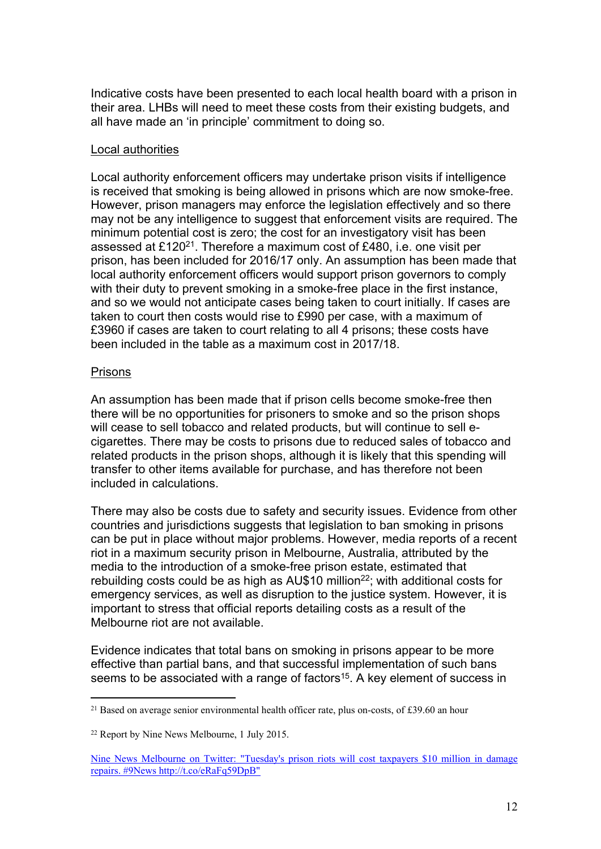Indicative costs have been presented to each local health board with a prison in their area. LHBs will need to meet these costs from their existing budgets, and all have made an 'in principle' commitment to doing so.

#### Local authorities

Local authority enforcement officers may undertake prison visits if intelligence is received that smoking is being allowed in prisons which are now smoke-free. However, prison managers may enforce the legislation effectively and so there may not be any intelligence to suggest that enforcement visits are required. The minimum potential cost is zero; the cost for an investigatory visit has been assessed at £120<sup>21</sup>. Therefore a maximum cost of £480, i.e. one visit per prison, has been included for 2016/17 only. An assumption has been made that local authority enforcement officers would support prison governors to comply with their duty to prevent smoking in a smoke-free place in the first instance, and so we would not anticipate cases being taken to court initially. If cases are taken to court then costs would rise to £990 per case, with a maximum of £3960 if cases are taken to court relating to all 4 prisons; these costs have been included in the table as a maximum cost in 2017/18.

#### **Prisons**

An assumption has been made that if prison cells become smoke-free then there will be no opportunities for prisoners to smoke and so the prison shops will cease to sell tobacco and related products, but will continue to sell ecigarettes. There may be costs to prisons due to reduced sales of tobacco and related products in the prison shops, although it is likely that this spending will transfer to other items available for purchase, and has therefore not been included in calculations.

There may also be costs due to safety and security issues. Evidence from other countries and jurisdictions suggests that legislation to ban smoking in prisons can be put in place without major problems. However, media reports of a recent riot in a maximum security prison in Melbourne, Australia, attributed by the media to the introduction of a smoke-free prison estate, estimated that rebuilding costs could be as high as AU\$10 million<sup>22</sup>; with additional costs for emergency services, as well as disruption to the justice system. However, it is important to stress that official reports detailing costs as a result of the Melbourne riot are not available.

Evidence indicates that total bans on smoking in prisons appear to be more effective than partial bans, and that successful implementation of such bans seems to be associated with a range of factors<sup>15</sup>. A key element of success in

<sup>&</sup>lt;sup>21</sup> Based on average senior environmental health officer rate, plus on-costs, of £39.60 an hour

<sup>22</sup> Report by Nine News Melbourne, 1 July 2015.

Nine News [Melbourne](https://twitter.com/9newsmelb/status/616349538585079809) on Twitter: "Tuesday's prison riots will cost taxpayers \$10 million in damage repairs. #9News [http://t.co/eRaFq59DpB"](https://twitter.com/9newsmelb/status/616349538585079809)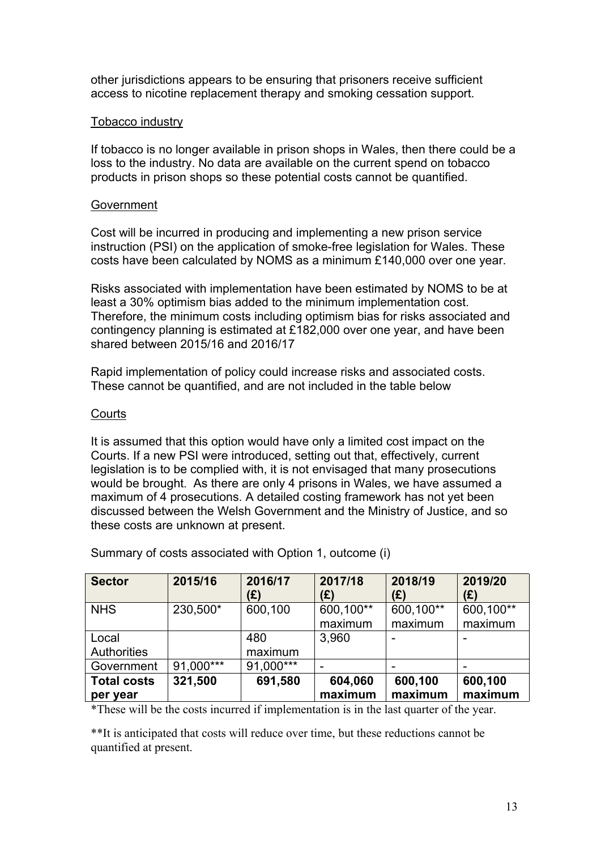other jurisdictions appears to be ensuring that prisoners receive sufficient access to nicotine replacement therapy and smoking cessation support.

## Tobacco industry

If tobacco is no longer available in prison shops in Wales, then there could be a loss to the industry. No data are available on the current spend on tobacco products in prison shops so these potential costs cannot be quantified.

#### Government

Cost will be incurred in producing and implementing a new prison service instruction (PSI) on the application of smoke-free legislation for Wales. These costs have been calculated by NOMS as a minimum £140,000 over one year.

Risks associated with implementation have been estimated by NOMS to be at least a 30% optimism bias added to the minimum implementation cost. Therefore, the minimum costs including optimism bias for risks associated and contingency planning is estimated at £182,000 over one year, and have been shared between 2015/16 and 2016/17

Rapid implementation of policy could increase risks and associated costs. These cannot be quantified, and are not included in the table below

#### **Courts**

It is assumed that this option would have only a limited cost impact on the Courts. If a new PSI were introduced, setting out that, effectively, current legislation is to be complied with, it is not envisaged that many prosecutions would be brought. As there are only 4 prisons in Wales, we have assumed a maximum of 4 prosecutions. A detailed costing framework has not yet been discussed between the Welsh Government and the Ministry of Justice, and so these costs are unknown at present.

| <b>Sector</b>                  | 2015/16   | 2016/17<br>(£) | 2017/18<br>(£)       | 2018/19<br>(£)       | 2019/20<br>(£)       |
|--------------------------------|-----------|----------------|----------------------|----------------------|----------------------|
| <b>NHS</b>                     | 230,500*  | 600,100        | 600,100**<br>maximum | 600,100**<br>maximum | 600,100**<br>maximum |
| Local<br>Authorities           |           | 480<br>maximum | 3,960                |                      |                      |
| Government                     | 91,000*** | 91,000***      |                      |                      |                      |
| <b>Total costs</b><br>per year | 321,500   | 691,580        | 604,060<br>maximum   | 600,100<br>maximum   | 600,100<br>maximum   |

Summary of costs associated with Option 1, outcome (i)

\*These will be the costs incurred if implementation is in the last quarter of the year.

\*\*It is anticipated that costs will reduce over time, but these reductions cannot be quantified at present.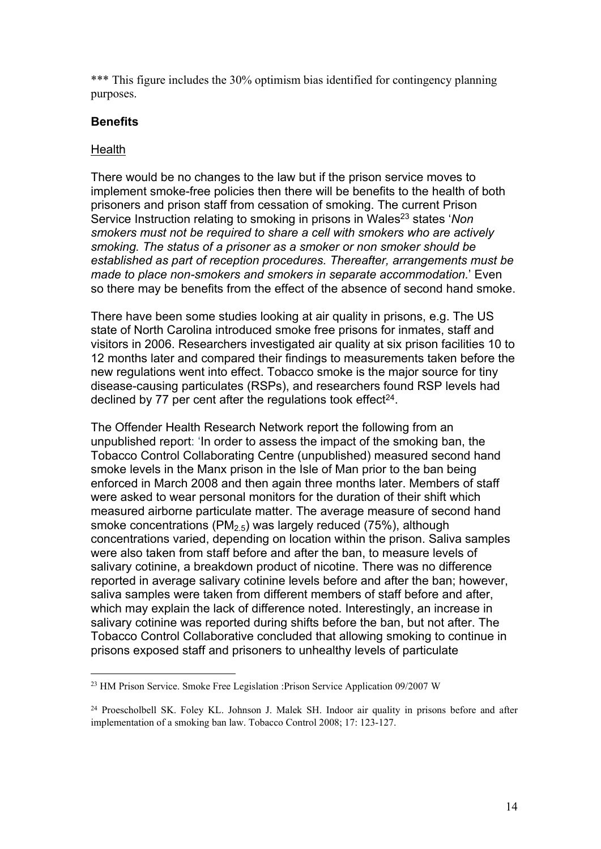\*\*\* This figure includes the 30% optimism bias identified for contingency planning purposes.

## **Benefits**

#### **Health**

There would be no changes to the law but if the prison service moves to implement smoke-free policies then there will be benefits to the health of both prisoners and prison staff from cessation of smoking. The current Prison Service Instruction relating to smoking in prisons in Wales<sup>23</sup> states '*Non smokers must not be required to share a cell with smokers who are actively smoking. The status of a prisoner as a smoker or non smoker should be established as part of reception procedures. Thereafter, arrangements must be made to place non-smokers and smokers in separate accommodation.*' Even so there may be benefits from the effect of the absence of second hand smoke.

There have been some studies looking at air quality in prisons, e.g. The US state of North Carolina introduced smoke free prisons for inmates, staff and visitors in 2006. Researchers investigated air quality at six prison facilities 10 to 12 months later and compared their findings to measurements taken before the new regulations went into effect. Tobacco smoke is the major source for tiny disease-causing particulates (RSPs), and researchers found RSP levels had declined by 77 per cent after the regulations took effect $24$ .

The Offender Health Research Network report the following from an unpublished report: 'In order to assess the impact of the smoking ban, the Tobacco Control Collaborating Centre (unpublished) measured second hand smoke levels in the Manx prison in the Isle of Man prior to the ban being enforced in March 2008 and then again three months later. Members of staff were asked to wear personal monitors for the duration of their shift which measured airborne particulate matter. The average measure of second hand smoke concentrations (PM<sub>2.5</sub>) was largely reduced (75%), although concentrations varied, depending on location within the prison. Saliva samples were also taken from staff before and after the ban, to measure levels of salivary cotinine, a breakdown product of nicotine. There was no difference reported in average salivary cotinine levels before and after the ban; however, saliva samples were taken from different members of staff before and after, which may explain the lack of difference noted. Interestingly, an increase in salivary cotinine was reported during shifts before the ban, but not after. The Tobacco Control Collaborative concluded that allowing smoking to continue in prisons exposed staff and prisoners to unhealthy levels of particulate

<sup>23</sup> HM Prison Service. Smoke Free Legislation :Prison Service Application 09/2007 W

<sup>24</sup> Proescholbell SK. Foley KL. Johnson J. Malek SH. Indoor air quality in prisons before and after implementation of a smoking ban law. Tobacco Control 2008; 17: 123-127.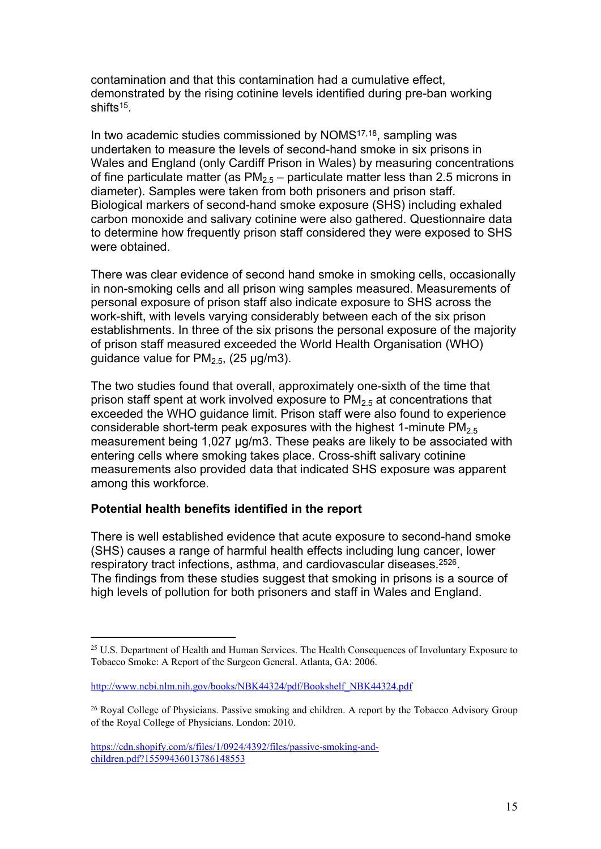contamination and that this contamination had a cumulative effect, demonstrated by the rising cotinine levels identified during pre-ban working shifts<sup>15</sup>.

In two academic studies commissioned by NOMS<sup>17,18</sup>, sampling was undertaken to measure the levels of second-hand smoke in six prisons in Wales and England (only Cardiff Prison in Wales) by measuring concentrations of fine particulate matter (as  $PM_{2.5}$  – particulate matter less than 2.5 microns in diameter). Samples were taken from both prisoners and prison staff. Biological markers of second-hand smoke exposure (SHS) including exhaled carbon monoxide and salivary cotinine were also gathered. Questionnaire data to determine how frequently prison staff considered they were exposed to SHS were obtained.

There was clear evidence of second hand smoke in smoking cells, occasionally in non-smoking cells and all prison wing samples measured. Measurements of personal exposure of prison staff also indicate exposure to SHS across the work-shift, with levels varying considerably between each of the six prison establishments. In three of the six prisons the personal exposure of the majority of prison staff measured exceeded the World Health Organisation (WHO) guidance value for  $PM<sub>2.5</sub>$ , (25 µg/m3).

The two studies found that overall, approximately one-sixth of the time that prison staff spent at work involved exposure to  $PM<sub>2.5</sub>$  at concentrations that exceeded the WHO guidance limit. Prison staff were also found to experience considerable short-term peak exposures with the highest 1-minute  $PM<sub>2.5</sub>$ measurement being 1,027 µg/m3. These peaks are likely to be associated with entering cells where smoking takes place. Cross-shift salivary cotinine measurements also provided data that indicated SHS exposure was apparent among this workforce.

## **Potential health benefits identified in the report**

There is well established evidence that acute exposure to second-hand smoke (SHS) causes a range of harmful health effects including lung cancer, lower respiratory tract infections, asthma, and cardiovascular diseases.<sup>2526</sup>. The findings from these studies suggest that smoking in prisons is a source of high levels of pollution for both prisoners and staff in Wales and England.

<sup>&</sup>lt;sup>25</sup> U.S. Department of Health and Human Services. The Health Consequences of Involuntary Exposure to Tobacco Smoke: A Report of the Surgeon General. Atlanta, GA: 2006.

[http://www.ncbi.nlm.nih.gov/books/NBK44324/pdf/Bookshelf\\_NBK44324.pdf](http://www.ncbi.nlm.nih.gov/books/NBK44324/pdf/Bookshelf_NBK44324.pdf)

<sup>&</sup>lt;sup>26</sup> Royal College of Physicians. Passive smoking and children. A report by the Tobacco Advisory Group of the Royal College of Physicians. London: 2010.

[https://cdn.shopify.com/s/files/1/0924/4392/files/passive-smoking-and](https://cdn.shopify.com/s/files/1/0924/4392/files/passive-smoking-and-children.pdf?15599436013786148553)[children.pdf?15599436013786148553](https://cdn.shopify.com/s/files/1/0924/4392/files/passive-smoking-and-children.pdf?15599436013786148553)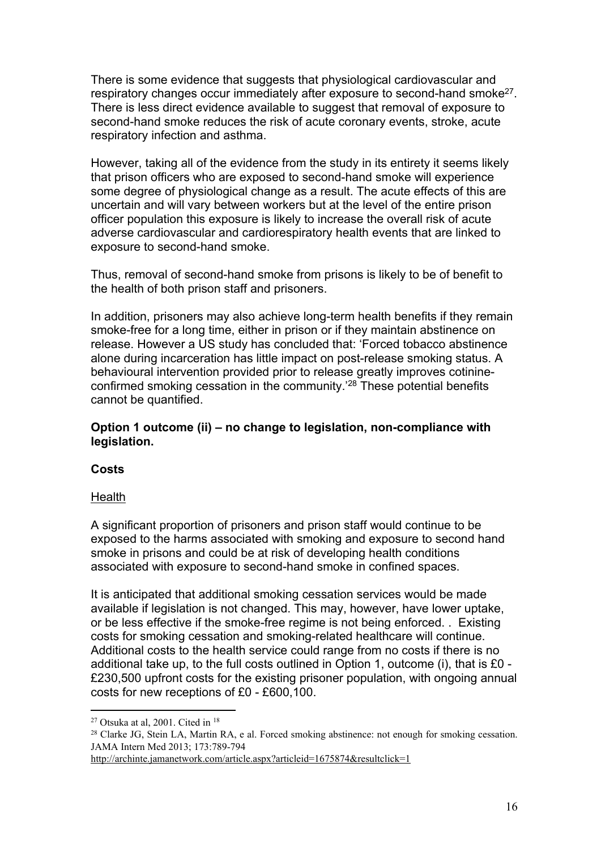There is some evidence that suggests that physiological cardiovascular and respiratory changes occur immediately after exposure to second-hand smoke<sup>27</sup>. There is less direct evidence available to suggest that removal of exposure to second-hand smoke reduces the risk of acute coronary events, stroke, acute respiratory infection and asthma.

However, taking all of the evidence from the study in its entirety it seems likely that prison officers who are exposed to second-hand smoke will experience some degree of physiological change as a result. The acute effects of this are uncertain and will vary between workers but at the level of the entire prison officer population this exposure is likely to increase the overall risk of acute adverse cardiovascular and cardiorespiratory health events that are linked to exposure to second-hand smoke.

Thus, removal of second-hand smoke from prisons is likely to be of benefit to the health of both prison staff and prisoners.

In addition, prisoners may also achieve long-term health benefits if they remain smoke-free for a long time, either in prison or if they maintain abstinence on release. However a US study has concluded that: 'Forced tobacco abstinence alone during incarceration has little impact on post-release smoking status. A behavioural intervention provided prior to release greatly improves cotinineconfirmed smoking cessation in the community.'<sup>28</sup> These potential benefits cannot be quantified.

## **Option 1 outcome (ii) – no change to legislation, non-compliance with legislation.**

## **Costs**

## Health

A significant proportion of prisoners and prison staff would continue to be exposed to the harms associated with smoking and exposure to second hand smoke in prisons and could be at risk of developing health conditions associated with exposure to second-hand smoke in confined spaces.

It is anticipated that additional smoking cessation services would be made available if legislation is not changed. This may, however, have lower uptake, or be less effective if the smoke-free regime is not being enforced. . Existing costs for smoking cessation and smoking-related healthcare will continue. Additional costs to the health service could range from no costs if there is no additional take up, to the full costs outlined in Option 1, outcome (i), that is £0 - £230,500 upfront costs for the existing prisoner population, with ongoing annual costs for new receptions of £0 - £600,100.

<sup>27</sup> Otsuka at al, 2001. Cited in <sup>18</sup>

<sup>&</sup>lt;sup>28</sup> Clarke JG, Stein LA, Martin RA, e al. Forced smoking abstinence: not enough for smoking cessation. JAMA Intern Med 2013; 173:789-794

<http://archinte.jamanetwork.com/article.aspx?articleid=1675874&resultclick=1>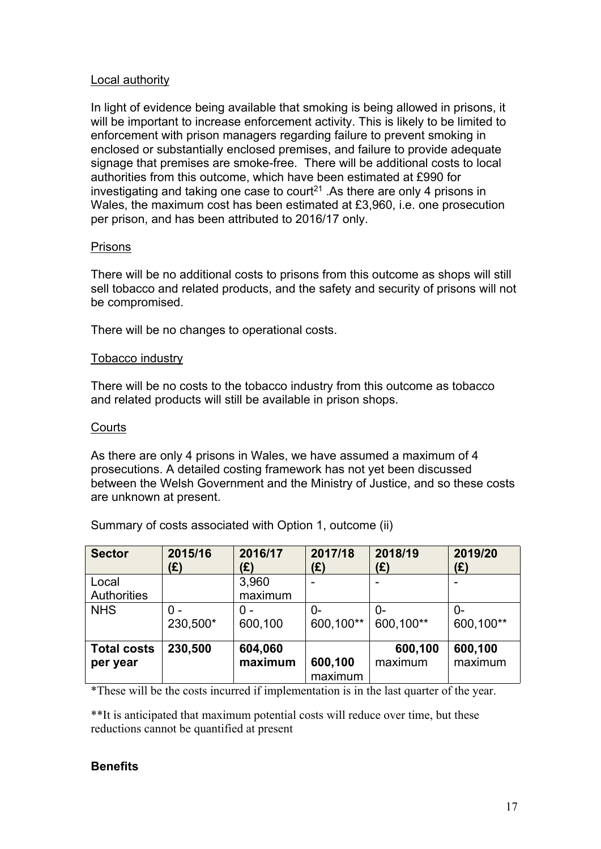### Local authority

In light of evidence being available that smoking is being allowed in prisons, it will be important to increase enforcement activity. This is likely to be limited to enforcement with prison managers regarding failure to prevent smoking in enclosed or substantially enclosed premises, and failure to provide adequate signage that premises are smoke-free. There will be additional costs to local authorities from this outcome, which have been estimated at £990 for investigating and taking one case to court<sup>21</sup>. As there are only 4 prisons in Wales, the maximum cost has been estimated at £3,960, i.e. one prosecution per prison, and has been attributed to 2016/17 only.

## **Prisons**

There will be no additional costs to prisons from this outcome as shops will still sell tobacco and related products, and the safety and security of prisons will not be compromised.

There will be no changes to operational costs.

## Tobacco industry

There will be no costs to the tobacco industry from this outcome as tobacco and related products will still be available in prison shops.

#### **Courts**

As there are only 4 prisons in Wales, we have assumed a maximum of 4 prosecutions. A detailed costing framework has not yet been discussed between the Welsh Government and the Ministry of Justice, and so these costs are unknown at present.

| <b>Sector</b>               | 2015/16  | 2016/17          | 2017/18   | 2018/19   | 2019/20   |
|-----------------------------|----------|------------------|-----------|-----------|-----------|
|                             | (£)      | (£)              | (£)       | (£)       | (E)       |
| Local<br><b>Authorities</b> |          | 3,960<br>maximum |           |           |           |
| <b>NHS</b>                  | 0 -      | $0 -$            | 0-        | $0-$      | $0-$      |
|                             | 230,500* | 600,100          | 600,100** | 600,100** | 600,100** |
| <b>Total costs</b>          | 230,500  | 604,060          | 600,100   | 600,100   | 600,100   |
| per year                    |          | maximum          | maximum   | maximum   | maximum   |

Summary of costs associated with Option 1, outcome (ii)

\*These will be the costs incurred if implementation is in the last quarter of the year.

\*\*It is anticipated that maximum potential costs will reduce over time, but these reductions cannot be quantified at present

## **Benefits**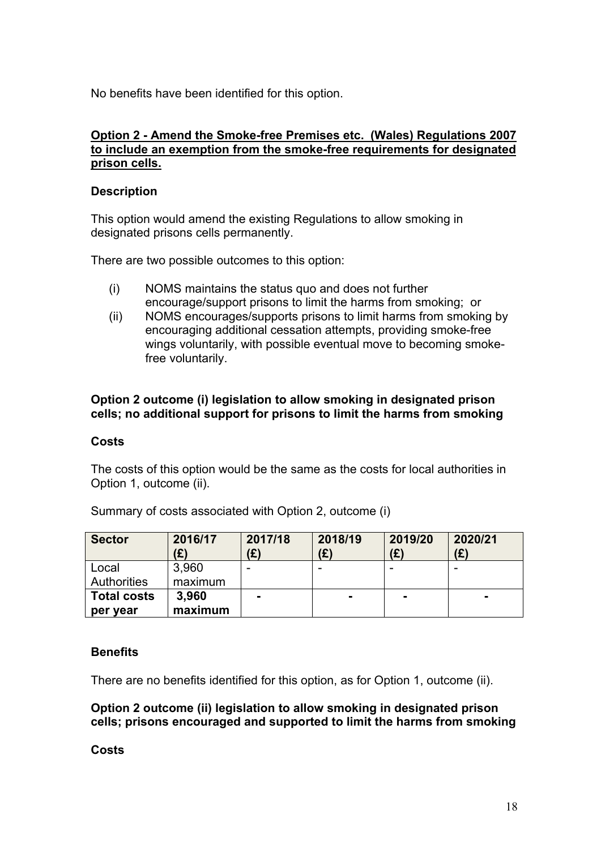No benefits have been identified for this option.

### **Option 2 - Amend the Smoke-free Premises etc. (Wales) Regulations 2007 to include an exemption from the smoke-free requirements for designated prison cells.**

## **Description**

This option would amend the existing Regulations to allow smoking in designated prisons cells permanently.

There are two possible outcomes to this option:

- (i) NOMS maintains the status quo and does not further encourage/support prisons to limit the harms from smoking; or
- (ii) NOMS encourages/supports prisons to limit harms from smoking by encouraging additional cessation attempts, providing smoke-free wings voluntarily, with possible eventual move to becoming smokefree voluntarily.

## **Option 2 outcome (i) legislation to allow smoking in designated prison cells; no additional support for prisons to limit the harms from smoking**

#### **Costs**

The costs of this option would be the same as the costs for local authorities in Option 1, outcome (ii).

| <b>Sector</b>      | 2016/17<br>(£) | 2017/18<br>(£) | 2018/19<br>(£) | 2019/20<br>(£) | 2020/21<br>(E) |
|--------------------|----------------|----------------|----------------|----------------|----------------|
| Local              | 3,960          |                |                | -              |                |
| Authorities        | maximum        |                |                |                |                |
| <b>Total costs</b> | 3,960          |                | <b>п.</b>      | -              | $\blacksquare$ |
| per year           | maximum        |                |                |                |                |

Summary of costs associated with Option 2, outcome (i)

#### **Benefits**

There are no benefits identified for this option, as for Option 1, outcome (ii).

**Option 2 outcome (ii) legislation to allow smoking in designated prison cells; prisons encouraged and supported to limit the harms from smoking**

#### **Costs**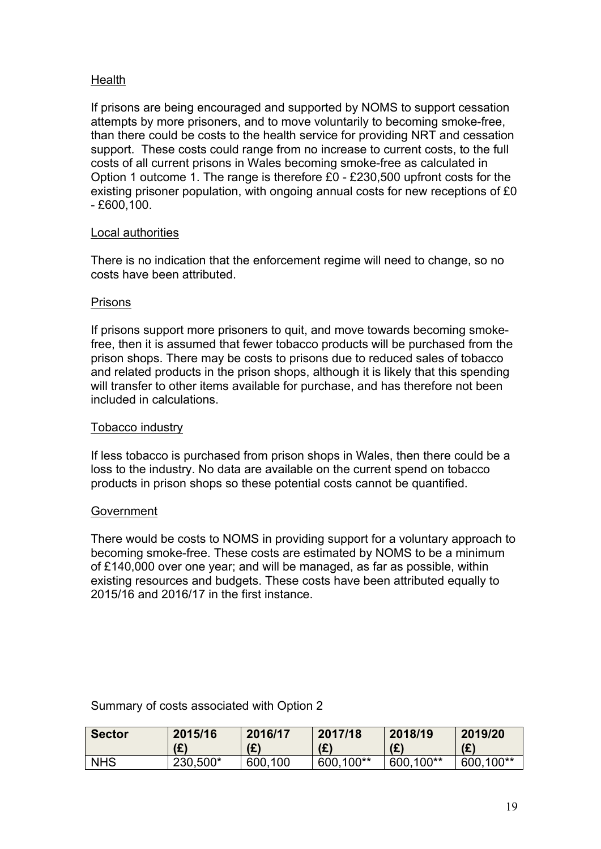## **Health**

If prisons are being encouraged and supported by NOMS to support cessation attempts by more prisoners, and to move voluntarily to becoming smoke-free, than there could be costs to the health service for providing NRT and cessation support. These costs could range from no increase to current costs, to the full costs of all current prisons in Wales becoming smoke-free as calculated in Option 1 outcome 1. The range is therefore £0 - £230,500 upfront costs for the existing prisoner population, with ongoing annual costs for new receptions of £0 - £600,100.

## Local authorities

There is no indication that the enforcement regime will need to change, so no costs have been attributed.

## Prisons

If prisons support more prisoners to quit, and move towards becoming smokefree, then it is assumed that fewer tobacco products will be purchased from the prison shops. There may be costs to prisons due to reduced sales of tobacco and related products in the prison shops, although it is likely that this spending will transfer to other items available for purchase, and has therefore not been included in calculations.

#### Tobacco industry

If less tobacco is purchased from prison shops in Wales, then there could be a loss to the industry. No data are available on the current spend on tobacco products in prison shops so these potential costs cannot be quantified.

#### Government

There would be costs to NOMS in providing support for a voluntary approach to becoming smoke-free. These costs are estimated by NOMS to be a minimum of £140,000 over one year; and will be managed, as far as possible, within existing resources and budgets. These costs have been attributed equally to 2015/16 and 2016/17 in the first instance.

Summary of costs associated with Option 2

| <b>Sector</b> | 2015/16  | 2016/17     | 2017/18   | 2018/19   | 2019/20        |
|---------------|----------|-------------|-----------|-----------|----------------|
|               | (E)      | (£)         | (E)       | (E)       | (E)            |
| <b>NHS</b>    | 230,500* | 600.<br>100 | 600,100** | 600,100** | .100**<br>600. |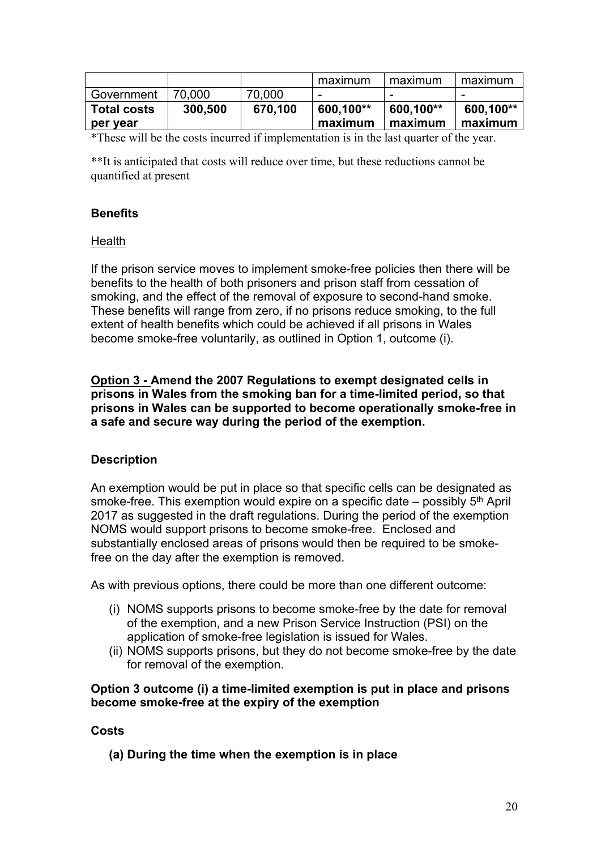|                    |         |         | maximum   | maximum   | maximum   |
|--------------------|---------|---------|-----------|-----------|-----------|
| Government         | 70,000  | 70,000  |           |           |           |
| <b>Total costs</b> | 300,500 | 670,100 | 600,100** | 600,100** | 600,100** |
| per year           |         |         | maximum   | maximum   | maximum   |

\*These will be the costs incurred if implementation is in the last quarter of the year.

\*\*It is anticipated that costs will reduce over time, but these reductions cannot be quantified at present

## **Benefits**

## Health

If the prison service moves to implement smoke-free policies then there will be benefits to the health of both prisoners and prison staff from cessation of smoking, and the effect of the removal of exposure to second-hand smoke. These benefits will range from zero, if no prisons reduce smoking, to the full extent of health benefits which could be achieved if all prisons in Wales become smoke-free voluntarily, as outlined in Option 1, outcome (i).

**Option 3 - Amend the 2007 Regulations to exempt designated cells in prisons in Wales from the smoking ban for a time-limited period, so that prisons in Wales can be supported to become operationally smoke-free in a safe and secure way during the period of the exemption.**

## **Description**

An exemption would be put in place so that specific cells can be designated as smoke-free. This exemption would expire on a specific date – possibly 5<sup>th</sup> April 2017 as suggested in the draft regulations. During the period of the exemption NOMS would support prisons to become smoke-free. Enclosed and substantially enclosed areas of prisons would then be required to be smokefree on the day after the exemption is removed.

As with previous options, there could be more than one different outcome:

- (i) NOMS supports prisons to become smoke-free by the date for removal of the exemption, and a new Prison Service Instruction (PSI) on the application of smoke-free legislation is issued for Wales.
- (ii) NOMS supports prisons, but they do not become smoke-free by the date for removal of the exemption.

#### **Option 3 outcome (i) a time-limited exemption is put in place and prisons become smoke-free at the expiry of the exemption**

#### **Costs**

**(a) During the time when the exemption is in place**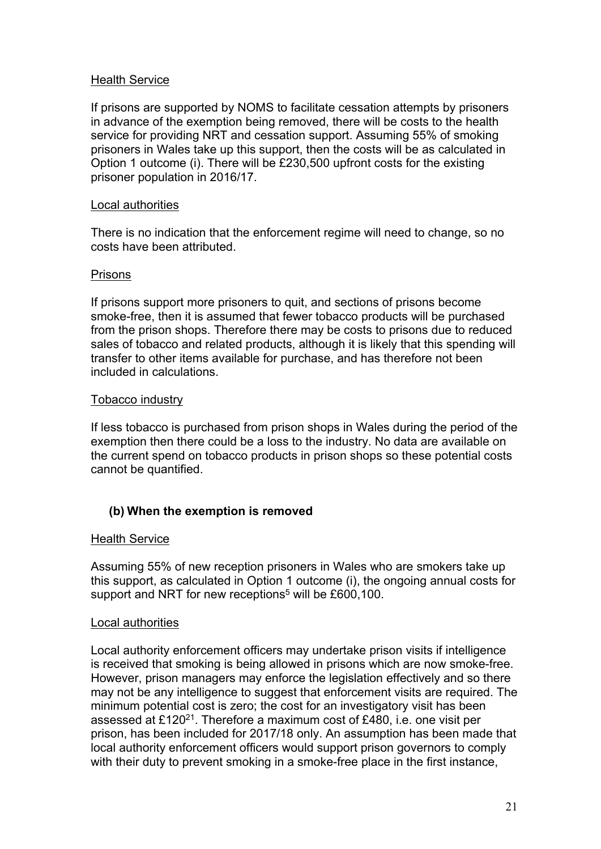### Health Service

If prisons are supported by NOMS to facilitate cessation attempts by prisoners in advance of the exemption being removed, there will be costs to the health service for providing NRT and cessation support. Assuming 55% of smoking prisoners in Wales take up this support, then the costs will be as calculated in Option 1 outcome (i). There will be £230,500 upfront costs for the existing prisoner population in 2016/17.

#### Local authorities

There is no indication that the enforcement regime will need to change, so no costs have been attributed.

#### Prisons

If prisons support more prisoners to quit, and sections of prisons become smoke-free, then it is assumed that fewer tobacco products will be purchased from the prison shops. Therefore there may be costs to prisons due to reduced sales of tobacco and related products, although it is likely that this spending will transfer to other items available for purchase, and has therefore not been included in calculations.

#### Tobacco industry

If less tobacco is purchased from prison shops in Wales during the period of the exemption then there could be a loss to the industry. No data are available on the current spend on tobacco products in prison shops so these potential costs cannot be quantified.

#### **(b) When the exemption is removed**

#### Health Service

Assuming 55% of new reception prisoners in Wales who are smokers take up this support, as calculated in Option 1 outcome (i), the ongoing annual costs for support and NRT for new receptions<sup>5</sup> will be £600,100.

#### Local authorities

Local authority enforcement officers may undertake prison visits if intelligence is received that smoking is being allowed in prisons which are now smoke-free. However, prison managers may enforce the legislation effectively and so there may not be any intelligence to suggest that enforcement visits are required. The minimum potential cost is zero; the cost for an investigatory visit has been assessed at £120<sup>21</sup>. Therefore a maximum cost of £480, i.e. one visit per prison, has been included for 2017/18 only. An assumption has been made that local authority enforcement officers would support prison governors to comply with their duty to prevent smoking in a smoke-free place in the first instance,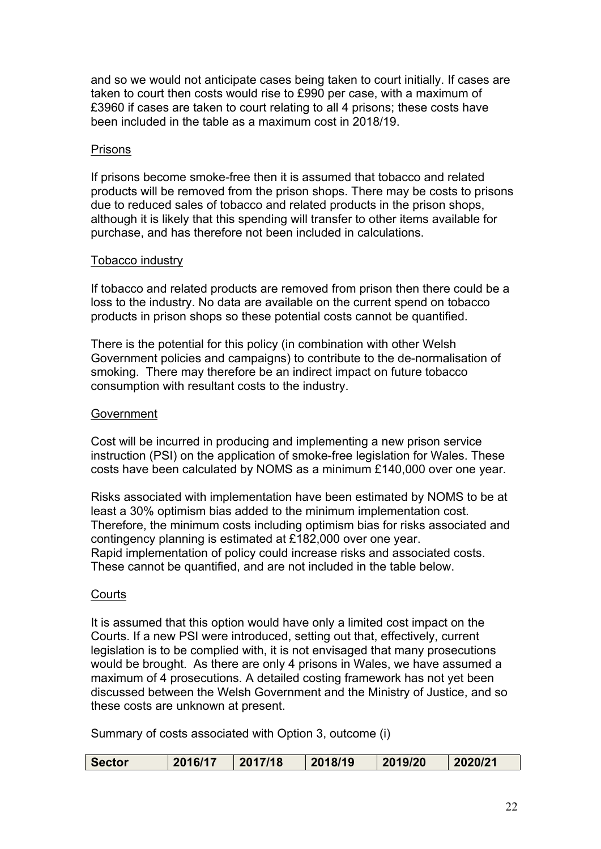and so we would not anticipate cases being taken to court initially. If cases are taken to court then costs would rise to £990 per case, with a maximum of £3960 if cases are taken to court relating to all 4 prisons; these costs have been included in the table as a maximum cost in 2018/19.

#### **Prisons**

If prisons become smoke-free then it is assumed that tobacco and related products will be removed from the prison shops. There may be costs to prisons due to reduced sales of tobacco and related products in the prison shops, although it is likely that this spending will transfer to other items available for purchase, and has therefore not been included in calculations.

#### Tobacco industry

If tobacco and related products are removed from prison then there could be a loss to the industry. No data are available on the current spend on tobacco products in prison shops so these potential costs cannot be quantified.

There is the potential for this policy (in combination with other Welsh Government policies and campaigns) to contribute to the de-normalisation of smoking. There may therefore be an indirect impact on future tobacco consumption with resultant costs to the industry.

#### Government

Cost will be incurred in producing and implementing a new prison service instruction (PSI) on the application of smoke-free legislation for Wales. These costs have been calculated by NOMS as a minimum £140,000 over one year.

Risks associated with implementation have been estimated by NOMS to be at least a 30% optimism bias added to the minimum implementation cost. Therefore, the minimum costs including optimism bias for risks associated and contingency planning is estimated at £182,000 over one year. Rapid implementation of policy could increase risks and associated costs. These cannot be quantified, and are not included in the table below.

#### **Courts**

It is assumed that this option would have only a limited cost impact on the Courts. If a new PSI were introduced, setting out that, effectively, current legislation is to be complied with, it is not envisaged that many prosecutions would be brought. As there are only 4 prisons in Wales, we have assumed a maximum of 4 prosecutions. A detailed costing framework has not yet been discussed between the Welsh Government and the Ministry of Justice, and so these costs are unknown at present.

Summary of costs associated with Option 3, outcome (i)

| <b>Sector</b><br>2016/1 | 2017/18 | 2018/19 | 2019/20 | 2020/21 |
|-------------------------|---------|---------|---------|---------|
|-------------------------|---------|---------|---------|---------|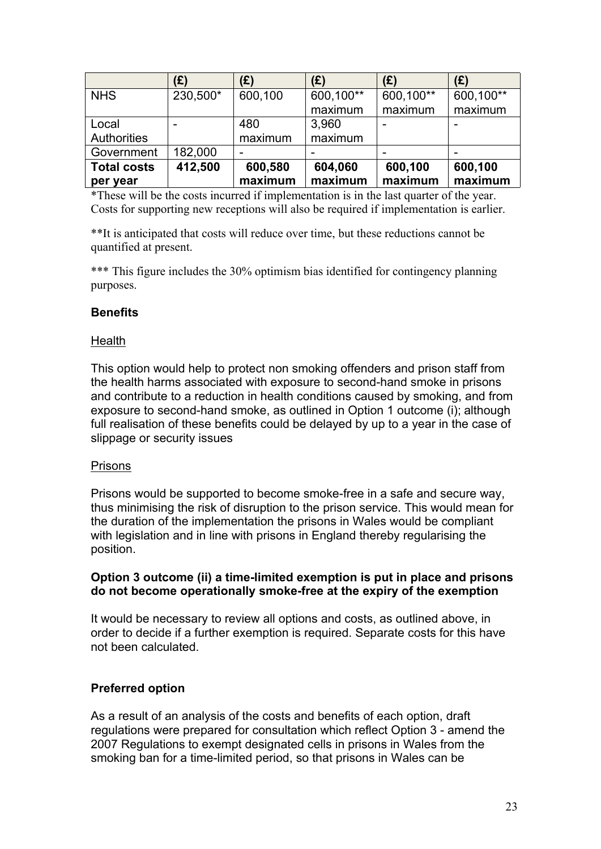|                    | (£)      | (E)     | (E)       | (E)       | (E)       |
|--------------------|----------|---------|-----------|-----------|-----------|
| <b>NHS</b>         | 230,500* | 600,100 | 600,100** | 600,100** | 600,100** |
|                    |          |         | maximum   | maximum   | maximum   |
| Local              |          | 480     | 3,960     |           |           |
| <b>Authorities</b> |          | maximum | maximum   |           |           |
| Government         | 182,000  |         |           |           |           |
| <b>Total costs</b> | 412,500  | 600,580 | 604,060   | 600,100   | 600,100   |
| per year           |          | maximum | maximum   | maximum   | maximum   |

\*These will be the costs incurred if implementation is in the last quarter of the year. Costs for supporting new receptions will also be required if implementation is earlier.

\*\*It is anticipated that costs will reduce over time, but these reductions cannot be quantified at present.

\*\*\* This figure includes the 30% optimism bias identified for contingency planning purposes.

## **Benefits**

#### **Health**

This option would help to protect non smoking offenders and prison staff from the health harms associated with exposure to second-hand smoke in prisons and contribute to a reduction in health conditions caused by smoking, and from exposure to second-hand smoke, as outlined in Option 1 outcome (i); although full realisation of these benefits could be delayed by up to a year in the case of slippage or security issues

#### Prisons

Prisons would be supported to become smoke-free in a safe and secure way, thus minimising the risk of disruption to the prison service. This would mean for the duration of the implementation the prisons in Wales would be compliant with legislation and in line with prisons in England thereby regularising the position.

#### **Option 3 outcome (ii) a time-limited exemption is put in place and prisons do not become operationally smoke-free at the expiry of the exemption**

It would be necessary to review all options and costs, as outlined above, in order to decide if a further exemption is required. Separate costs for this have not been calculated.

#### **Preferred option**

As a result of an analysis of the costs and benefits of each option, draft regulations were prepared for consultation which reflect Option 3 - amend the 2007 Regulations to exempt designated cells in prisons in Wales from the smoking ban for a time-limited period, so that prisons in Wales can be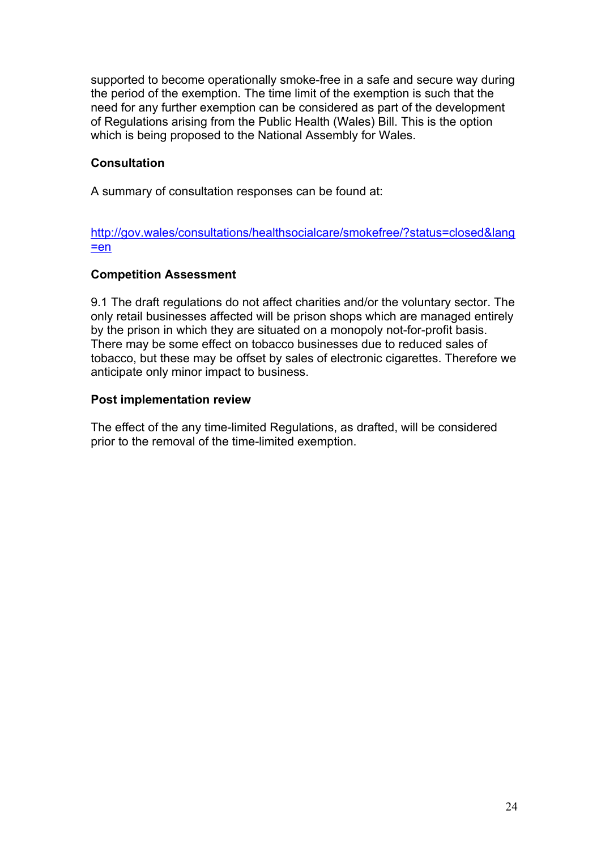supported to become operationally smoke-free in a safe and secure way during the period of the exemption. The time limit of the exemption is such that the need for any further exemption can be considered as part of the development of Regulations arising from the Public Health (Wales) Bill. This is the option which is being proposed to the National Assembly for Wales.

## **Consultation**

A summary of consultation responses can be found at:

[http://gov.wales/consultations/healthsocialcare/smokefree/?status=closed&lang](http://gov.wales/consultations/healthsocialcare/smokefree/?status=closed&lang=en)  $=en$ 

#### **Competition Assessment**

9.1 The draft regulations do not affect charities and/or the voluntary sector. The only retail businesses affected will be prison shops which are managed entirely by the prison in which they are situated on a monopoly not-for-profit basis. There may be some effect on tobacco businesses due to reduced sales of tobacco, but these may be offset by sales of electronic cigarettes. Therefore we anticipate only minor impact to business.

#### **Post implementation review**

The effect of the any time-limited Regulations, as drafted, will be considered prior to the removal of the time-limited exemption.